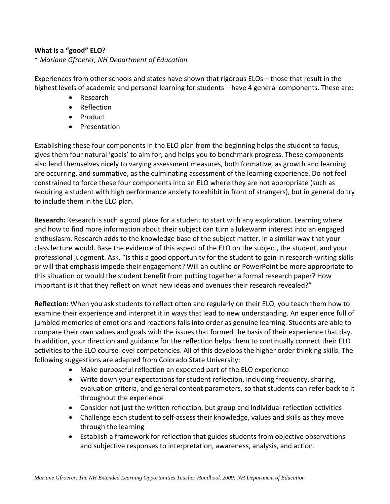## **What is a "good" ELO?**

## *~ Mariane Gfroerer, NH Department of Education*

Experiences from other schools and states have shown that rigorous ELOs – those that result in the highest levels of academic and personal learning for students – have 4 general components. These are:

- Research
- Reflection
- Product
- Presentation

Establishing these four components in the ELO plan from the beginning helps the student to focus, gives them four natural 'goals' to aim for, and helps you to benchmark progress. These components also lend themselves nicely to varying assessment measures, both formative, as growth and learning are occurring, and summative, as the culminating assessment of the learning experience. Do not feel constrained to force these four components into an ELO where they are not appropriate (such as requiring a student with high performance anxiety to exhibit in front of strangers), but in general do try to include them in the ELO plan.

**Research:** Research is such a good place for a student to start with any exploration. Learning where and how to find more information about their subject can turn a lukewarm interest into an engaged enthusiasm. Research adds to the knowledge base of the subject matter, in a similar way that your class lecture would. Base the evidence of this aspect of the ELO on the subject, the student, and your professional judgment. Ask, "Is this a good opportunity for the student to gain in research‐writing skills or will that emphasis impede their engagement? Will an outline or PowerPoint be more appropriate to this situation or would the student benefit from putting together a formal research paper? How important is it that they reflect on what new ideas and avenues their research revealed?"

**Reflection:** When you ask students to reflect often and regularly on their ELO, you teach them how to examine their experience and interpret it in ways that lead to new understanding. An experience full of jumbled memories of emotions and reactions falls into order as genuine learning. Students are able to compare their own values and goals with the issues that formed the basis of their experience that day. In addition, your direction and guidance for the reflection helps them to continually connect their ELO activities to the ELO course level competencies. All of this develops the higher order thinking skills. The following suggestions are adapted from Colorado State University:

- Make purposeful reflection an expected part of the ELO experience
- Write down your expectations for student reflection, including frequency, sharing, evaluation criteria, and general content parameters, so that students can refer back to it throughout the experience
- Consider not just the written reflection, but group and individual reflection activities
- Challenge each student to self‐assess their knowledge, values and skills as they move through the learning
- Establish a framework for reflection that guides students from objective observations and subjective responses to interpretation, awareness, analysis, and action.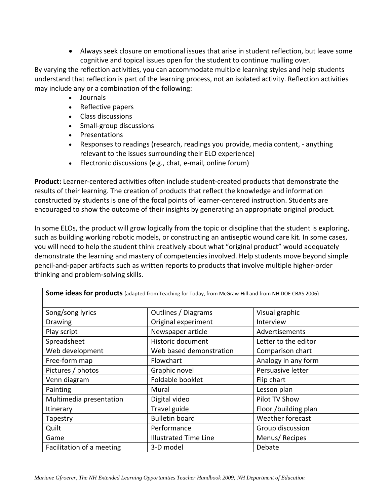• Always seek closure on emotional issues that arise in student reflection, but leave some cognitive and topical issues open for the student to continue mulling over.

By varying the reflection activities, you can accommodate multiple learning styles and help students understand that reflection is part of the learning process, not an isolated activity. Reflection activities may include any or a combination of the following:

- Journals
- Reflective papers
- Class discussions
- Small-group discussions
- Presentations
- Responses to readings (research, readings you provide, media content, anything relevant to the issues surrounding their ELO experience)
- Electronic discussions (e.g., chat, e‐mail, online forum)

**Product:** Learner‐centered activities often include student‐created products that demonstrate the results of their learning. The creation of products that reflect the knowledge and information constructed by students is one of the focal points of learner‐centered instruction. Students are encouraged to show the outcome of their insights by generating an appropriate original product.

In some ELOs, the product will grow logically from the topic or discipline that the student is exploring, such as building working robotic models, or constructing an antiseptic wound care kit. In some cases, you will need to help the student think creatively about what "original product" would adequately demonstrate the learning and mastery of competencies involved. Help students move beyond simple pencil-and-paper artifacts such as written reports to products that involve multiple higher-order thinking and problem‐solving skills.

| Some ideas for products (adapted from Teaching for Today, from McGraw-Hill and from NH DOE CBAS 2006) |                              |                      |  |  |  |  |
|-------------------------------------------------------------------------------------------------------|------------------------------|----------------------|--|--|--|--|
|                                                                                                       |                              |                      |  |  |  |  |
| Song/song lyrics                                                                                      | Outlines / Diagrams          | Visual graphic       |  |  |  |  |
| <b>Drawing</b>                                                                                        | Original experiment          | Interview            |  |  |  |  |
| Play script                                                                                           | Newspaper article            | Advertisements       |  |  |  |  |
| Spreadsheet                                                                                           | Historic document            | Letter to the editor |  |  |  |  |
| Web development                                                                                       | Web based demonstration      | Comparison chart     |  |  |  |  |
| Free-form map                                                                                         | Flowchart                    | Analogy in any form  |  |  |  |  |
| Pictures / photos                                                                                     | Graphic novel                | Persuasive letter    |  |  |  |  |
| Venn diagram                                                                                          | Foldable booklet             | Flip chart           |  |  |  |  |
| Painting                                                                                              | Mural                        | Lesson plan          |  |  |  |  |
| Multimedia presentation                                                                               | Digital video                | Pilot TV Show        |  |  |  |  |
| Itinerary                                                                                             | Travel guide                 | Floor /building plan |  |  |  |  |
| Tapestry                                                                                              | <b>Bulletin board</b>        | Weather forecast     |  |  |  |  |
| Quilt                                                                                                 | Performance                  | Group discussion     |  |  |  |  |
| Game                                                                                                  | <b>Illustrated Time Line</b> | Menus/Recipes        |  |  |  |  |
| Facilitation of a meeting                                                                             | 3-D model                    | Debate               |  |  |  |  |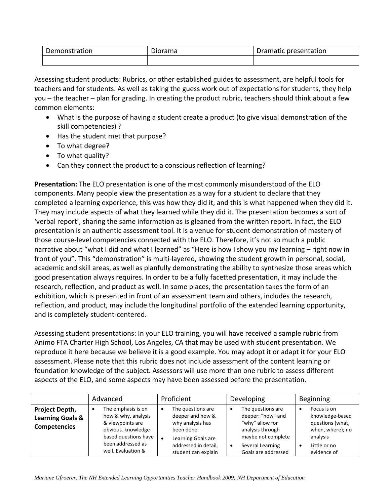| Demonstration | Diorama | <b>Pramatic presentation</b><br>Dramatic |  |
|---------------|---------|------------------------------------------|--|
|               |         |                                          |  |

Assessing student products: Rubrics, or other established guides to assessment, are helpful tools for teachers and for students. As well as taking the guess work out of expectations for students, they help you – the teacher – plan for grading. In creating the product rubric, teachers should think about a few common elements:

- What is the purpose of having a student create a product (to give visual demonstration of the skill competencies) ?
- Has the student met that purpose?
- To what degree?
- To what quality?
- Can they connect the product to a conscious reflection of learning?

**Presentation:** The ELO presentation is one of the most commonly misunderstood of the ELO components. Many people view the presentation as a way for a student to declare that they completed a learning experience, this was how they did it, and this is what happened when they did it. They may include aspects of what they learned while they did it. The presentation becomes a sort of 'verbal report', sharing the same information as is gleaned from the written report. In fact, the ELO presentation is an authentic assessment tool. It is a venue for student demonstration of mastery of those course‐level competencies connected with the ELO. Therefore, it's not so much a public narrative about "what I did and what I learned" as "Here is how I show you my learning – right now in front of you". This "demonstration" is multi-layered, showing the student growth in personal, social, academic and skill areas, as well as planfully demonstrating the ability to synthesize those areas which good presentation always requires. In order to be a fully facetted presentation, it may include the research, reflection, and product as well. In some places, the presentation takes the form of an exhibition, which is presented in front of an assessment team and others, includes the research, reflection, and product, may include the longitudinal portfolio of the extended learning opportunity, and is completely student‐centered.

Assessing student presentations: In your ELO training, you will have received a sample rubric from Animo FTA Charter High School, Los Angeles, CA that may be used with student presentation. We reproduce it here because we believe it is a good example. You may adopt it or adapt it for your ELO assessment. Please note that this rubric does not include assessment of the content learning or foundation knowledge of the subject. Assessors will use more than one rubric to assess different aspects of the ELO, and some aspects may have been assessed before the presentation.

|                                                                      | Advanced                                                                                                                                                     | Proficient                                                                                                                                   | Developing                                                                                                                                                  | <b>Beginning</b>                                                                                                  |
|----------------------------------------------------------------------|--------------------------------------------------------------------------------------------------------------------------------------------------------------|----------------------------------------------------------------------------------------------------------------------------------------------|-------------------------------------------------------------------------------------------------------------------------------------------------------------|-------------------------------------------------------------------------------------------------------------------|
| Project Depth,<br><b>Learning Goals &amp;</b><br><b>Competencies</b> | The emphasis is on<br>٠<br>how & why, analysis<br>& viewpoints are<br>obvious. knowledge-<br>based questions have<br>been addressed as<br>well. Evaluation & | The questions are<br>deeper and how &<br>why analysis has<br>been done.<br>Learning Goals are<br>addressed in detail,<br>student can explain | The questions are<br>deeper: "how" and<br>"why" allow for<br>analysis through<br>maybe not complete<br>Several Learning<br>$\bullet$<br>Goals are addressed | Focus is on<br>knowledge-based<br>questions (what,<br>when, where); no<br>analysis<br>Little or no<br>evidence of |